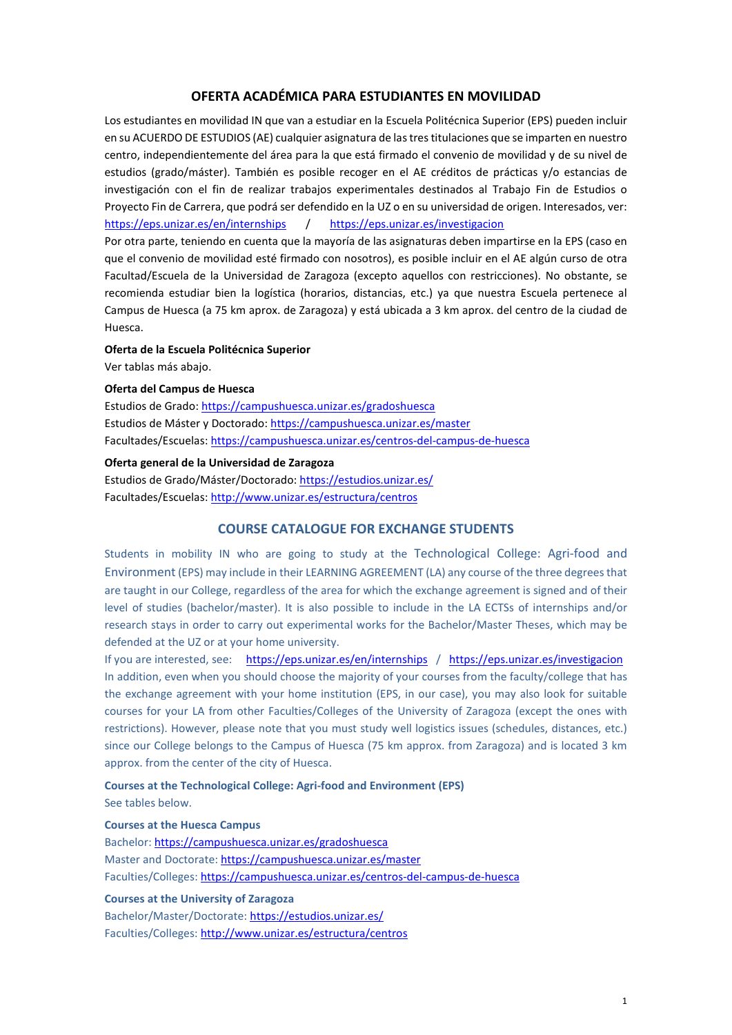### **OFERTA ACADÉMICA PARA ESTUDIANTES EN MOVILIDAD**

Los estudiantes en movilidad IN que van a estudiar en la Escuela Politécnica Superior (EPS) pueden incluir en su ACUERDO DE ESTUDIOS (AE) cualquier asignatura de las tres titulaciones que se imparten en nuestro centro, independientemente del área para la que está firmado el convenio de movilidad y de su nivel de estudios (grado/máster). También es posible recoger en el AE créditos de prácticas y/o estancias de investigación con el fin de realizar trabajos experimentales destinados al Trabajo Fin de Estudios o Proyecto Fin de Carrera, que podrá ser defendido en la UZ o en su universidad de origen. Interesados, ver: <https://eps.unizar.es/en/internships>/ <https://eps.unizar.es/investigacion>

Por otra parte, teniendo en cuenta que la mayoría de las asignaturas deben impartirse en la EPS (caso en que el convenio de movilidad esté firmado con nosotros), es posible incluir en el AE algún curso de otra Facultad/Escuela de la Universidad de Zaragoza (excepto aquellos con restricciones). No obstante, se recomienda estudiar bien la logística (horarios, distancias, etc.) ya que nuestra Escuela pertenece al Campus de Huesca (a 75 km aprox. de Zaragoza) y está ubicada a 3 km aprox. del centro de la ciudad de Huesca.

#### **Oferta de la Escuela Politécnica Superior**

Ver tablas más abajo.

#### **Oferta del Campus de Huesca**

Estudios de Grado:<https://campushuesca.unizar.es/gradoshuesca> Estudios de Máster y Doctorado:<https://campushuesca.unizar.es/master> Facultades/Escuelas[: https://campushuesca.unizar.es/centros-del-campus-de-huesca](https://campushuesca.unizar.es/centros-del-campus-de-huesca)

### **Oferta general de la Universidad de Zaragoza**

Estudios de Grado/Máster/Doctorado:<https://estudios.unizar.es/> Facultades/Escuelas[: http://www.unizar.es/estructura/centros](http://www.unizar.es/estructura/centros)

#### **COURSE CATALOGUE FOR EXCHANGE STUDENTS**

Students in mobility IN who are going to study at the Technological College: Agri-food and Environment(EPS) may include in their LEARNING AGREEMENT (LA) any course of the three degrees that are taught in our College, regardless of the area for which the exchange agreement is signed and of their level of studies (bachelor/master). It is also possible to include in the LA ECTSs of internships and/or research stays in order to carry out experimental works for the Bachelor/Master Theses, which may be defended at the UZ or at your home university.

If you are interested, see: <https://eps.unizar.es/en/internships>/ <https://eps.unizar.es/investigacion> In addition, even when you should choose the majority of your courses from the faculty/college that has the exchange agreement with your home institution (EPS, in our case), you may also look for suitable courses for your LA from other Faculties/Colleges of the University of Zaragoza (except the ones with restrictions). However, please note that you must study well logistics issues (schedules, distances, etc.) since our College belongs to the Campus of Huesca (75 km approx. from Zaragoza) and is located 3 km approx. from the center of the city of Huesca.

**Courses at the Technological College: Agri-food and Environment (EPS)** See tables below.

#### **Courses at the Huesca Campus**

Bachelor[: https://campushuesca.unizar.es/gradoshuesca](https://campushuesca.unizar.es/gradoshuesca) Master and Doctorate[: https://campushuesca.unizar.es/master](https://campushuesca.unizar.es/master) Faculties/Colleges:<https://campushuesca.unizar.es/centros-del-campus-de-huesca>

### **Courses at the University of Zaragoza**

Bachelor/Master/Doctorate[: https://estudios.unizar.es/](https://estudios.unizar.es/) Faculties/Colleges:<http://www.unizar.es/estructura/centros>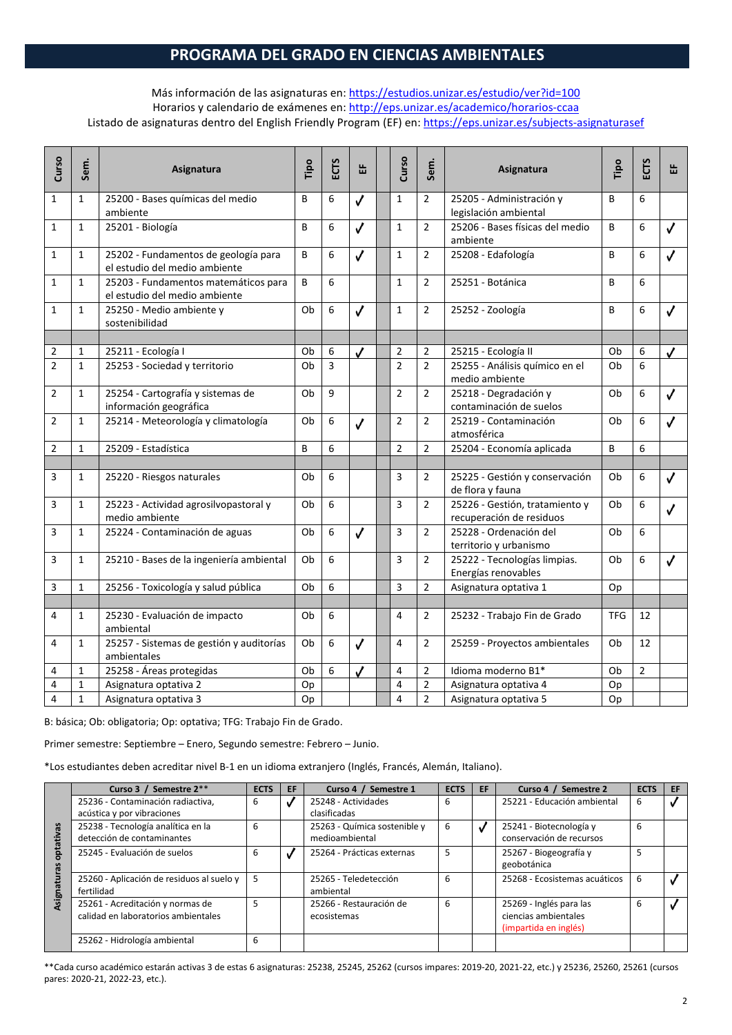# **PROGRAMA DEL GRADO EN CIENCIAS AMBIENTALES**

### Más información de las asignaturas en:<https://estudios.unizar.es/estudio/ver?id=100> Horarios y calendario de exámenes en:<http://eps.unizar.es/academico/horarios-ccaa> Listado de asignaturas dentro del English Friendly Program (EF) en[: https://eps.unizar.es/subjects-asignaturasef](https://eps.unizar.es/subjects-asignaturasef)

| Curso          | Sem.         | Asignatura                                                            | Tipo | ECTS | 岀                | Curso          | Sem.           | Asignatura                                                 | Tipo       | <b>ECTS</b>    | 뚭            |
|----------------|--------------|-----------------------------------------------------------------------|------|------|------------------|----------------|----------------|------------------------------------------------------------|------------|----------------|--------------|
| $\mathbf{1}$   | $\mathbf{1}$ | 25200 - Bases químicas del medio<br>ambiente                          | B    | 6    | √                | $\mathbf{1}$   | $\overline{2}$ | 25205 - Administración y<br>legislación ambiental          | B          | 6              |              |
| $\mathbf{1}$   | $\mathbf{1}$ | 25201 - Biología                                                      | В    | 6    | $\checkmark$     | $\mathbf{1}$   | $\overline{2}$ | 25206 - Bases físicas del medio<br>ambiente                | B          | 6              | $\checkmark$ |
| $\mathbf{1}$   | $\mathbf{1}$ | 25202 - Fundamentos de geología para<br>el estudio del medio ambiente | B    | 6    | $\checkmark$     | $\mathbf{1}$   | $\overline{2}$ | 25208 - Edafología                                         | B          | 6              | J            |
| $\mathbf{1}$   | $\mathbf{1}$ | 25203 - Fundamentos matemáticos para<br>el estudio del medio ambiente | B    | 6    |                  | $\mathbf{1}$   | $\overline{2}$ | 25251 - Botánica                                           | B          | 6              |              |
| $\mathbf{1}$   | $\mathbf{1}$ | 25250 - Medio ambiente y<br>sostenibilidad                            | Ob   | 6    | $\checkmark$     | $\mathbf{1}$   | $\overline{2}$ | 25252 - Zoología                                           | B          | 6              | $\checkmark$ |
|                |              |                                                                       |      |      |                  |                |                |                                                            |            |                |              |
| 2              | $\mathbf{1}$ | 25211 - Ecología I                                                    | Ob   | 6    | $\checkmark$     | $\overline{2}$ | $\overline{2}$ | 25215 - Ecología II                                        | Ob         | 6              | $\checkmark$ |
| $\overline{2}$ | $\mathbf{1}$ | 25253 - Sociedad y territorio                                         | Ob   | 3    |                  | $\overline{2}$ | $\overline{2}$ | 25255 - Análisis químico en el<br>medio ambiente           | Ob         | 6              |              |
| $\overline{2}$ | $\mathbf{1}$ | 25254 - Cartografía y sistemas de<br>información geográfica           | Ob   | 9    |                  | $\overline{2}$ | $\overline{2}$ | 25218 - Degradación y<br>contaminación de suelos           | Ob         | 6              | $\checkmark$ |
| $\overline{2}$ | $\mathbf{1}$ | 25214 - Meteorología y climatología                                   | Ob   | 6    | $\checkmark$     | $\overline{2}$ | $\overline{2}$ | 25219 - Contaminación<br>atmosférica                       | Ob         | 6              | J            |
| $\overline{2}$ | $\mathbf{1}$ | 25209 - Estadística                                                   | B    | 6    |                  | $\overline{2}$ | $\overline{2}$ | 25204 - Economía aplicada                                  | B          | 6              |              |
|                |              |                                                                       |      |      |                  |                |                |                                                            |            |                |              |
| 3              | $\mathbf{1}$ | 25220 - Riesgos naturales                                             | Ob   | 6    |                  | 3              | $\overline{2}$ | 25225 - Gestión y conservación<br>de flora y fauna         | Ob         | 6              | $\checkmark$ |
| 3              | $\mathbf{1}$ | 25223 - Actividad agrosilvopastoral y<br>medio ambiente               | Ob   | 6    |                  | 3              | $\overline{2}$ | 25226 - Gestión, tratamiento y<br>recuperación de residuos | Ob         | 6              | ✓            |
| 3              | $\mathbf 1$  | 25224 - Contaminación de aguas                                        | Ob   | 6    | $\checkmark$     | 3              | $\overline{2}$ | 25228 - Ordenación del<br>territorio y urbanismo           | Ob         | 6              |              |
| 3              | $\mathbf{1}$ | 25210 - Bases de la ingeniería ambiental                              | Ob   | 6    |                  | 3              | $\overline{2}$ | 25222 - Tecnologías limpias.<br>Energías renovables        | Ob         | 6              | $\checkmark$ |
| 3              | $\mathbf{1}$ | 25256 - Toxicología y salud pública                                   | Ob   | 6    |                  | 3              | $\overline{2}$ | Asignatura optativa 1                                      | Op         |                |              |
|                |              |                                                                       |      |      |                  |                |                |                                                            |            |                |              |
| 4              | $\mathbf{1}$ | 25230 - Evaluación de impacto<br>ambiental                            | Ob   | 6    |                  | 4              | $\overline{2}$ | 25232 - Trabajo Fin de Grado                               | <b>TFG</b> | 12             |              |
| 4              | $\mathbf{1}$ | 25257 - Sistemas de gestión y auditorías<br>ambientales               | Ob   | 6    | $\checkmark$     | 4              | $\overline{2}$ | 25259 - Proyectos ambientales                              | Ob         | 12             |              |
| 4              | $\mathbf{1}$ | 25258 - Áreas protegidas                                              | Ob   | 6    | $\boldsymbol{J}$ | $\overline{4}$ | $\overline{2}$ | Idioma moderno B1*                                         | Ob         | $\overline{2}$ |              |
| 4              | $1\,$        | Asignatura optativa 2                                                 | Op   |      |                  | $\overline{4}$ | $\overline{2}$ | Asignatura optativa 4                                      | Op         |                |              |
| 4              | $\mathbf{1}$ | Asignatura optativa 3                                                 | Op   |      |                  | 4              | $\overline{2}$ | Asignatura optativa 5                                      | Op         |                |              |

B: básica; Ob: obligatoria; Op: optativa; TFG: Trabajo Fin de Grado.

Primer semestre: Septiembre – Enero, Segundo semestre: Febrero – Junio.

\*Los estudiantes deben acreditar nivel B-1 en un idioma extranjero (Inglés, Francés, Alemán, Italiano).

|        | Curso 3 / Semestre 2**                    | <b>ECTS</b> | EF | Curso 4 / Semestre 1         | <b>ECTS</b> | EF. | Curso 4 / Semestre 2          | <b>ECTS</b> | EF |
|--------|-------------------------------------------|-------------|----|------------------------------|-------------|-----|-------------------------------|-------------|----|
|        | 25236 - Contaminación radiactiva,         | 6           |    | 25248 - Actividades          | 6           |     | 25221 - Educación ambiental   | 6           |    |
|        | acústica y por vibraciones                |             |    | clasificadas                 |             |     |                               |             |    |
| 3g     | 25238 - Tecnología analítica en la        | 6           |    | 25263 - Química sostenible y | 6           |     | 25241 - Biotecnología y       | 6           |    |
| ativ.  | detección de contaminantes                |             |    | medioambiental               |             |     | conservación de recursos      |             |    |
| ë      | 25245 - Evaluación de suelos              | 6           |    | 25264 - Prácticas externas   | 5           |     | 25267 - Biogeografía y        | 5           |    |
|        |                                           |             |    |                              |             |     | geobotánica                   |             |    |
| ⋽      | 25260 - Aplicación de residuos al suelo y | 5           |    | 25265 - Teledetección        | 6           |     | 25268 - Ecosistemas acuáticos | 6           |    |
|        | fertilidad                                |             |    | ambiental                    |             |     |                               |             |    |
| Asigna | 25261 - Acreditación y normas de          | 5           |    | 25266 - Restauración de      | 6           |     | 25269 - Inglés para las       | 6           |    |
|        | calidad en laboratorios ambientales       |             |    | ecosistemas                  |             |     | ciencias ambientales          |             |    |
|        |                                           |             |    |                              |             |     | (impartida en inglés)         |             |    |
|        | 25262 - Hidrología ambiental              | 6           |    |                              |             |     |                               |             |    |
|        |                                           |             |    |                              |             |     |                               |             |    |

\*\*Cada curso académico estarán activas 3 de estas 6 asignaturas: 25238, 25245, 25262 (cursos impares: 2019-20, 2021-22, etc.) y 25236, 25260, 25261 (cursos pares: 2020-21, 2022-23, etc.).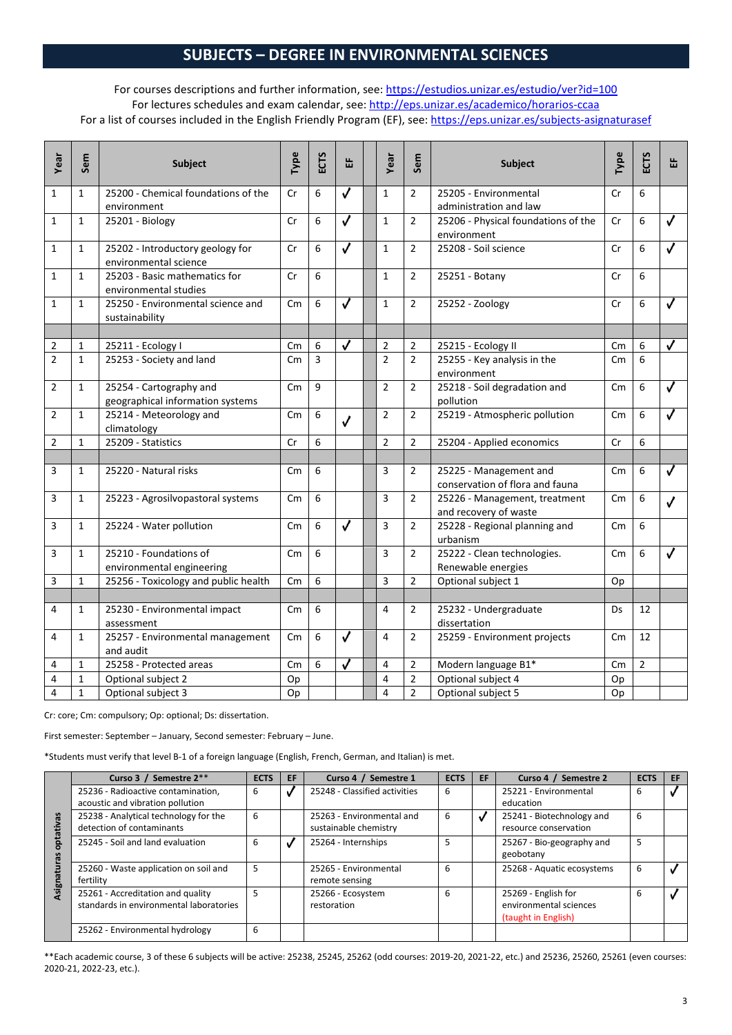# **SUBJECTS – DEGREE IN ENVIRONMENTAL SCIENCES**

### For courses descriptions and further information, see:<https://estudios.unizar.es/estudio/ver?id=100> For lectures schedules and exam calendar, see[: http://eps.unizar.es/academico/horarios-ccaa](http://eps.unizar.es/academico/horarios-ccaa) For a list of courses included in the English Friendly Program (EF), see[: https://eps.unizar.es/subjects-asignaturasef](https://eps.unizar.es/subjects-asignaturasef)

| Year           | Sem          | <b>Subject</b>                                              | Type                    | ECTS | 岀                       | Year           | Sem            | <b>Subject</b>                                            | Type           | <b>ECTS</b>    | ₩                       |
|----------------|--------------|-------------------------------------------------------------|-------------------------|------|-------------------------|----------------|----------------|-----------------------------------------------------------|----------------|----------------|-------------------------|
| 1              | $\mathbf{1}$ | 25200 - Chemical foundations of the<br>environment          | Cr                      | 6    | ✓                       | $\mathbf{1}$   | $\overline{2}$ | 25205 - Environmental<br>administration and law           | Cr             | 6              |                         |
| $\mathbf{1}$   | $\mathbf{1}$ | 25201 - Biology                                             | Cr                      | 6    | $\overline{\checkmark}$ | $\mathbf{1}$   | $\overline{2}$ | 25206 - Physical foundations of the<br>environment        | Cr             | 6              | ✓                       |
| $\mathbf{1}$   | $\mathbf{1}$ | 25202 - Introductory geology for<br>environmental science   | Cr                      | 6    | $\overline{\checkmark}$ | $\mathbf{1}$   | $\overline{2}$ | 25208 - Soil science                                      | Cr             | 6              |                         |
| $\mathbf{1}$   | $\mathbf{1}$ | 25203 - Basic mathematics for<br>environmental studies      | Cr                      | 6    |                         | 1              | $\overline{2}$ | 25251 - Botany                                            | Cr             | 6              |                         |
| $\mathbf{1}$   | $\mathbf{1}$ | 25250 - Environmental science and<br>sustainability         | $\mathsf{C} \mathsf{m}$ | 6    | $\checkmark$            | $\mathbf{1}$   | $\overline{2}$ | 25252 - Zoology                                           | Cr             | 6              | ✓                       |
|                |              |                                                             |                         |      |                         |                |                |                                                           |                |                |                         |
| 2              | $\mathbf{1}$ | 25211 - Ecology I                                           | $\mathsf{C}$ m          | 6    | $\overline{\checkmark}$ | $\overline{2}$ | $\overline{2}$ | 25215 - Ecology II                                        | Cm             | 6              | $\overline{\checkmark}$ |
| $\overline{2}$ | $\mathbf{1}$ | 25253 - Society and land                                    | $\mathsf{C}$ m          | 3    |                         | $\overline{2}$ | $\overline{2}$ | 25255 - Key analysis in the<br>environment                | Cm             | 6              |                         |
| $\overline{2}$ | $\mathbf{1}$ | 25254 - Cartography and<br>geographical information systems | $\mathsf{C}$ m          | 9    |                         | $\overline{2}$ | $\overline{2}$ | 25218 - Soil degradation and<br>pollution                 | Cm             | 6              | ✓                       |
| $\overline{2}$ | $\mathbf{1}$ | 25214 - Meteorology and<br>climatology                      | $\mathsf{C} \mathsf{m}$ | 6    | $\checkmark$            | $\overline{2}$ | $\overline{2}$ | 25219 - Atmospheric pollution                             | $\mathsf{C}$ m | 6              | $\checkmark$            |
| $\overline{2}$ | $\mathbf{1}$ | 25209 - Statistics                                          | Cr                      | 6    |                         | $\overline{2}$ | $\overline{2}$ | 25204 - Applied economics                                 | Cr             | 6              |                         |
|                |              |                                                             |                         |      |                         |                |                |                                                           |                |                |                         |
| 3              | $\mathbf{1}$ | 25220 - Natural risks                                       | $\mathsf{cm}$           | 6    |                         | 3              | 2              | 25225 - Management and<br>conservation of flora and fauna | Cm             | 6              | √                       |
| 3              | $\mathbf{1}$ | 25223 - Agrosilvopastoral systems                           | Cm                      | 6    |                         | 3              | $\overline{2}$ | 25226 - Management, treatment<br>and recovery of waste    | Cm             | 6              | $\checkmark$            |
| 3              | $\mathbf{1}$ | 25224 - Water pollution                                     | $\mathsf{C} \mathsf{m}$ | 6    | $\overline{\checkmark}$ | 3              | $\overline{2}$ | 25228 - Regional planning and<br>urbanism                 | $\mathsf{C}$ m | 6              |                         |
| 3              | $\mathbf{1}$ | 25210 - Foundations of<br>environmental engineering         | $\mathsf{cm}$           | 6    |                         | 3              | $\overline{2}$ | 25222 - Clean technologies.<br>Renewable energies         | $\mathsf{C}$ m | 6              | $\checkmark$            |
| 3              | $\mathbf{1}$ | 25256 - Toxicology and public health                        | Cm                      | 6    |                         | $\overline{3}$ | $\overline{2}$ | Optional subject 1                                        | Op             |                |                         |
|                |              |                                                             |                         |      |                         |                |                |                                                           |                |                |                         |
| 4              | $\mathbf{1}$ | 25230 - Environmental impact<br>assessment                  | $\mathsf{C}$ m          | 6    |                         | 4              | $\overline{2}$ | 25232 - Undergraduate<br>dissertation                     | Ds             | 12             |                         |
| 4              | $\mathbf{1}$ | 25257 - Environmental management<br>and audit               | Cm                      | 6    | ✓                       | 4              | $\overline{2}$ | 25259 - Environment projects                              | $\mathsf{C}$ m | 12             |                         |
| 4              | $\mathbf{1}$ | 25258 - Protected areas                                     | $\mathsf{C}$ m          | 6    | J                       | 4              | 2              | Modern language B1*                                       | $\mathsf{cm}$  | $\overline{2}$ |                         |
| 4              | $\mathbf{1}$ | Optional subject 2                                          | Op                      |      |                         | $\overline{4}$ | 2              | Optional subject 4                                        | Op             |                |                         |
| 4              | $\mathbf{1}$ | Optional subject 3                                          | Op                      |      |                         | $\overline{4}$ | $\overline{2}$ | Optional subject 5                                        | Op             |                |                         |

Cr: core; Cm: compulsory; Op: optional; Ds: dissertation.

First semester: September – January, Second semester: February – June.

\*Students must verify that level B-1 of a foreign language (English, French, German, and Italian) is met.

|        | Curso 3 / Semestre 2**                                                       | <b>ECTS</b> | EF | Curso 4 / Semestre 1                               | <b>ECTS</b> | EF | Curso 4 / Semestre 2                                                 | <b>ECTS</b> | EF |
|--------|------------------------------------------------------------------------------|-------------|----|----------------------------------------------------|-------------|----|----------------------------------------------------------------------|-------------|----|
|        | 25236 - Radioactive contamination,<br>acoustic and vibration pollution       | 6           |    | 25248 - Classified activities                      | 6           |    | 25221 - Environmental<br>education                                   | 6           |    |
| æ<br>言 | 25238 - Analytical technology for the<br>detection of contaminants           | 6           |    | 25263 - Environmental and<br>sustainable chemistry | 6           |    | 25241 - Biotechnology and<br>resource conservation                   | 6           |    |
| ъ      | 25245 - Soil and land evaluation                                             | 6           |    | 25264 - Internships                                | 5           |    | 25267 - Bio-geography and<br>geobotany                               | 5           |    |
| sign   | 25260 - Waste application on soil and<br>fertility                           | 5           |    | 25265 - Environmental<br>remote sensing            | 6           |    | 25268 - Aquatic ecosystems                                           | 6           |    |
|        | 25261 - Accreditation and quality<br>standards in environmental laboratories | 5           |    | 25266 - Ecosystem<br>restoration                   | 6           |    | 25269 - English for<br>environmental sciences<br>(taught in English) | 6           |    |
|        | 25262 - Environmental hydrology                                              | 6           |    |                                                    |             |    |                                                                      |             |    |

\*\*Each academic course, 3 of these 6 subjects will be active: 25238, 25245, 25262 (odd courses: 2019-20, 2021-22, etc.) and 25236, 25260, 25261 (even courses: 2020-21, 2022-23, etc.).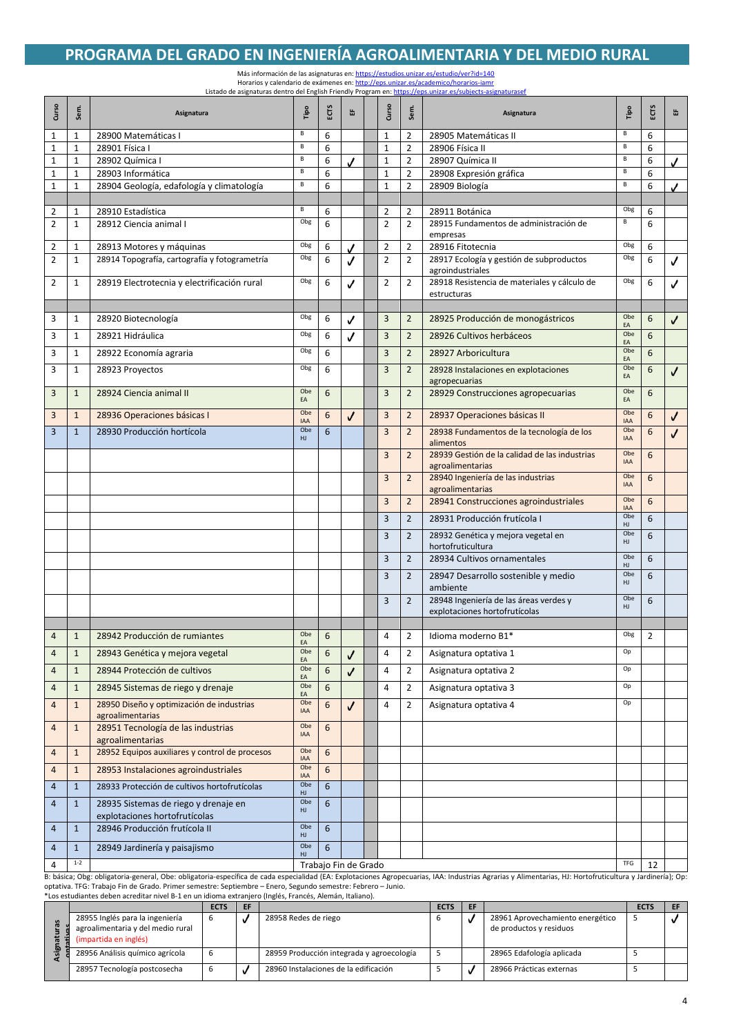### **PROGRAMA DEL GRADO EN INGENIERÍA AGROALIMENTARIA Y DEL MEDIO RURAL**

Más información de las asignaturas en[: https://estudios.unizar.es/estudio/ver?id=140](https://estudios.unizar.es/estudio/ver?id=140) Horarios y calendario de exámenes en[: http://eps.unizar.es/academico/horarios-iamr](http://eps.unizar.es/academico/horarios-iamr) Listado de asignaturas dentro del English Friendly Program en[: https://eps.unizar.es/subjects-asignaturasef](https://eps.unizar.es/subjects-asignaturasef)

| Curso            | Sem                         | Asignatura                                                            | Pol.                     | ECTS   | 岀                    | Curso                        | Sem<br>Asignatura                |                                                                         |                   | ΕŒ     | 岀            |
|------------------|-----------------------------|-----------------------------------------------------------------------|--------------------------|--------|----------------------|------------------------------|----------------------------------|-------------------------------------------------------------------------|-------------------|--------|--------------|
| 1                | 1                           | 28900 Matemáticas I                                                   | В                        | 6      |                      | 1                            | 2                                | 28905 Matemáticas II                                                    | B                 | 6      |              |
| 1                | $\mathbf{1}$                | 28901 Física I                                                        | В                        | 6      |                      | $\mathbf{1}$                 | 2                                | 28906 Física II                                                         | B                 | 6      |              |
| 1                | $\mathbf{1}$                | 28902 Química I                                                       | В<br>В                   | 6      |                      | $\mathbf{1}$                 | $\overline{2}$                   | 28907 Química II                                                        | B                 | 6      | J            |
| 1<br>$\mathbf 1$ | $\mathbf 1$<br>$\mathbf{1}$ | 28903 Informática<br>28904 Geología, edafología y climatología        | В                        | 6<br>6 |                      | $\mathbf{1}$<br>$\mathbf{1}$ | $\overline{2}$<br>$\overline{2}$ | 28908 Expresión gráfica<br>28909 Biología                               | B<br>B            | 6<br>6 | ✓            |
|                  |                             |                                                                       |                          |        |                      |                              |                                  |                                                                         |                   |        |              |
| 2                | $\mathbf{1}$                | 28910 Estadística                                                     | В                        | 6      |                      | $\overline{2}$               | $\overline{2}$                   | 28911 Botánica                                                          | Obg               | 6      |              |
| 2                | $\mathbf{1}$                | 28912 Ciencia animal I                                                | Obg                      | 6      |                      | $\overline{2}$               | 2                                | 28915 Fundamentos de administración de<br>empresas                      | В                 | 6      |              |
| 2                | $\mathbf 1$                 | 28913 Motores y máquinas                                              | Obg                      | 6      |                      | $\overline{2}$               | $\overline{2}$                   | 28916 Fitotecnia                                                        | Obg               | 6      |              |
| 2                | $\mathbf{1}$                | 28914 Topografía, cartografía y fotogrametría                         | Obg                      | 6      | ✓                    | $\overline{2}$               | $\overline{2}$                   | 28917 Ecología y gestión de subproductos<br>agroindustriales            | Obg               | 6      |              |
| 2                | $\mathbf{1}$                | 28919 Electrotecnia y electrificación rural                           | Obg                      | 6      | √                    | 2                            | $\overline{2}$                   | 28918 Resistencia de materiales y cálculo de<br>estructuras             | Obg               | 6      | ✓            |
|                  |                             |                                                                       |                          |        |                      |                              |                                  |                                                                         |                   |        |              |
| 3                | 1                           | 28920 Biotecnología                                                   | Obg                      | 6      | √                    | 3                            | $\overline{2}$                   | 28925 Producción de monogástricos                                       | Obe<br>EA         | 6      | ✓            |
| 3                | $\mathbf{1}$                | 28921 Hidráulica                                                      | Obg                      | 6      | √                    | 3                            | $\overline{2}$                   | 28926 Cultivos herbáceos                                                | Obe               | 6      |              |
| 3                | $\mathbf{1}$                | 28922 Economía agraria                                                | Obg                      | 6      |                      | 3                            | $\overline{2}$                   | 28927 Arboricultura                                                     | EA<br>Obe<br>EA   | 6      |              |
| 3                | 1                           | 28923 Proyectos                                                       | Obg                      | 6      |                      | $\overline{3}$               | $\overline{2}$                   | 28928 Instalaciones en explotaciones<br>agropecuarias                   | Obe<br>EA         | 6      | $\checkmark$ |
| 3                | $\mathbf{1}$                | 28924 Ciencia animal II                                               | Obe<br>EA                | 6      |                      | 3                            | $\overline{2}$                   | 28929 Construcciones agropecuarias                                      | Obe<br>EA         | 6      |              |
| 3                | $\mathbf{1}$                | 28936 Operaciones básicas I                                           | Obe<br>IAA               | 6      | ✓                    | 3                            | $\overline{2}$                   | 28937 Operaciones básicas II                                            | Obe<br>IAA        | 6      | ✓            |
| 3                | $\mathbf{1}$                | 28930 Producción hortícola                                            | Obe<br>HJ                | 6      |                      | 3                            | $\overline{2}$                   | 28938 Fundamentos de la tecnología de los<br>alimentos                  | Obe<br><b>IAA</b> | 6      | J            |
|                  |                             |                                                                       |                          |        |                      | $\overline{3}$               | $\overline{2}$                   | 28939 Gestión de la calidad de las industrias<br>agroalimentarias       | Obe<br><b>IAA</b> | 6      |              |
|                  |                             |                                                                       |                          |        |                      | 3                            | $\overline{2}$                   | 28940 Ingeniería de las industrias<br>agroalimentarias                  | Obe<br><b>IAA</b> | 6      |              |
|                  |                             |                                                                       |                          |        |                      | 3                            | $\overline{2}$                   | 28941 Construcciones agroindustriales                                   | Obe<br><b>IAA</b> | 6      |              |
|                  |                             |                                                                       |                          |        |                      | 3                            | $\overline{2}$                   | 28931 Producción frutícola I                                            | Obe<br>HJ         | 6      |              |
|                  |                             |                                                                       |                          |        |                      | 3                            | $\overline{2}$                   | 28932 Genética y mejora vegetal en<br>hortofruticultura                 | Obe<br>HJ         | 6      |              |
|                  |                             |                                                                       |                          |        |                      | $\overline{3}$               | $\overline{2}$                   | 28934 Cultivos ornamentales                                             | Obe<br>HJ         | 6      |              |
|                  |                             |                                                                       |                          |        |                      | 3                            | $\overline{2}$                   | 28947 Desarrollo sostenible y medio<br>ambiente                         | Obe<br>HJ         | 6      |              |
|                  |                             |                                                                       |                          |        |                      | 3                            | $\overline{2}$                   | 28948 Ingeniería de las áreas verdes y<br>explotaciones hortofrutícolas | Obe<br>HJ         | 6      |              |
|                  |                             |                                                                       |                          |        |                      |                              |                                  |                                                                         |                   |        |              |
| $\overline{4}$   | $\mathbf{1}$                | 28942 Producción de rumiantes                                         | Obe<br>EA                | 6      |                      | 4                            | $\overline{2}$                   | Idioma moderno B1*                                                      | Obg               | 2      |              |
| 4                | $\mathbf{1}$                | 28943 Genética y mejora vegetal                                       | Obe<br>EA                | 6      | ✓                    | 4                            | 2                                | Asignatura optativa 1                                                   | Op                |        |              |
| $\overline{4}$   | $\mathbf{1}$                | 28944 Protección de cultivos                                          | Obe                      | 6      | J                    | 4                            | $\overline{2}$                   | Asignatura optativa 2                                                   | Op                |        |              |
| $\overline{4}$   | $\mathbf{1}$                | 28945 Sistemas de riego y drenaje                                     | EA<br>Obe<br>EA          | 6      |                      | $\overline{4}$               | $\overline{2}$                   | Asignatura optativa 3                                                   | Op                |        |              |
| $\overline{4}$   | $\mathbf{1}$                | 28950 Diseño y optimización de industrias<br>agroalimentarias         | Obe<br>IAA               | 6      | ✓                    | $\overline{4}$               | $\overline{2}$                   | Asignatura optativa 4                                                   | Op                |        |              |
| 4                | $\mathbf{1}$                | 28951 Tecnología de las industrias<br>agroalimentarias                | Obe<br>IAA               | 6      |                      |                              |                                  |                                                                         |                   |        |              |
| $\overline{4}$   | $\mathbf{1}$                | 28952 Equipos auxiliares y control de procesos                        | Obe                      | 6      |                      |                              |                                  |                                                                         |                   |        |              |
| 4                | $\mathbf{1}$                | 28953 Instalaciones agroindustriales                                  | IAA<br>Obe<br><b>IAA</b> | 6      |                      |                              |                                  |                                                                         |                   |        |              |
| $\overline{4}$   | $\mathbf{1}$                | 28933 Protección de cultivos hortofrutícolas                          | Obe<br>HJ                | 6      |                      |                              |                                  |                                                                         |                   |        |              |
| $\overline{4}$   | $\mathbf{1}$                | 28935 Sistemas de riego y drenaje en<br>explotaciones hortofrutícolas | Obe<br>HJ                | 6      |                      |                              |                                  |                                                                         |                   |        |              |
| 4                | $\mathbf{1}$                | 28946 Producción frutícola II                                         | Obe<br>HJ                | 6      |                      |                              |                                  |                                                                         |                   |        |              |
| $\overline{4}$   | $\mathbf{1}$                | 28949 Jardinería y paisajismo                                         | Obe<br>HJ                | 6      |                      |                              |                                  |                                                                         |                   |        |              |
| 4                | $1-2$                       |                                                                       |                          |        | Trabajo Fin de Grado |                              |                                  |                                                                         | TFG               | 12     |              |

B: básica; Obg: obligatoria-general, Obe: obligatoria-específica de cada especialidad (EA: Explotaciones Agropecuarias, IAA: Industrias Agrarias y Alimentarias, HJ: Hortofruticultura y Jardinería); Op: optativa. TFG: Trabajo Fin de Grado. Primer semestre: Septiembre – Enero, Segundo semestre: Febrero – Junio. \*Los estudiantes deben acreditar nivel B-1 en un idioma extranjero (Inglés, Francés, Alemán, Italiano).

|                                                                                               | <b>ECTS</b> | EF |                                           | <b>ECTS</b> | EF |                                                             | <b>ECTS</b> | EF |
|-----------------------------------------------------------------------------------------------|-------------|----|-------------------------------------------|-------------|----|-------------------------------------------------------------|-------------|----|
| 28955 Inglés para la ingeniería<br>agroalimentaria y del medio rural<br>(impartida en inglés) |             |    | 28958 Redes de riego                      |             |    | 28961 Aprovechamiento energético<br>de productos y residuos |             |    |
| 28956 Análisis químico agrícola                                                               |             |    | 28959 Producción integrada y agroecología |             |    | 28965 Edafología aplicada                                   |             |    |
| 28957 Tecnología postcosecha                                                                  |             |    | 28960 Instalaciones de la edificación     |             |    | 28966 Prácticas externas                                    |             |    |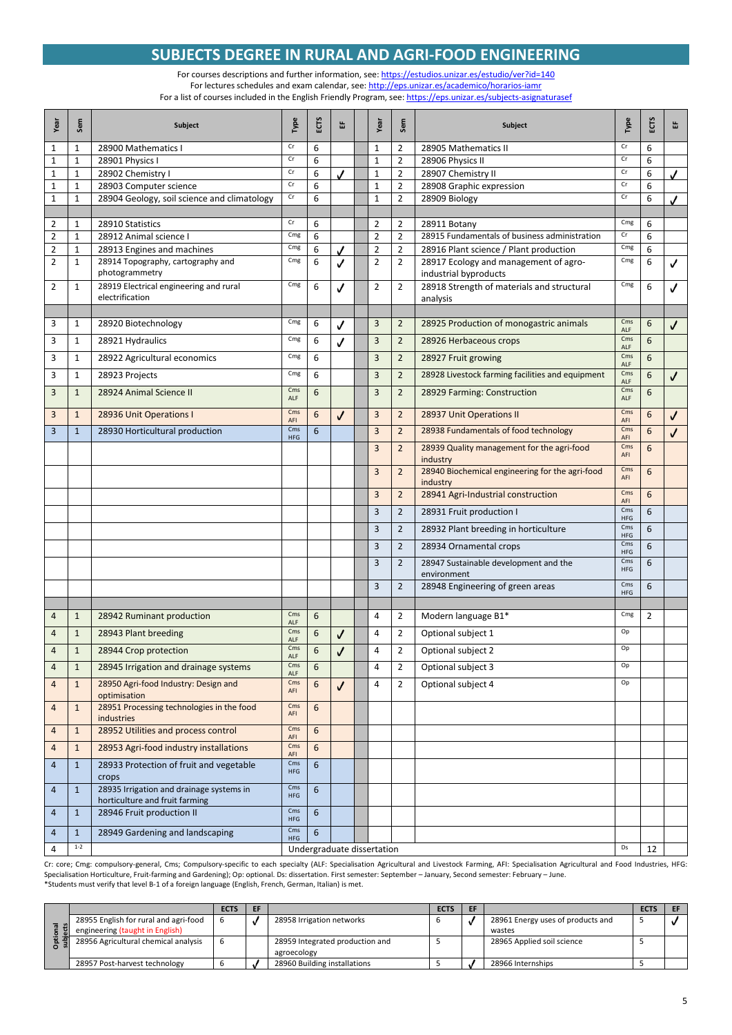## **SUBJECTS DEGREE IN RURAL AND AGRI-FOOD ENGINEERING**

For courses descriptions and further information, see[: https://estudios.unizar.es/estudio/ver?id=140](https://estudios.unizar.es/estudio/ver?id=140) For lectures schedules and exam calendar, see[: http://eps.unizar.es/academico/horarios-iamr](http://eps.unizar.es/academico/horarios-iamr) For a list of courses included in the English Friendly Program, see[: https://eps.unizar.es/subjects-asignaturasef](https://eps.unizar.es/subjects-asignaturasef)

| Year           | Sem          | Subject                                                                                           | Type                | ECTS | 岀  | Year                       | Sem            | Subject                                                     | Type                     | ECTS            | 뚭            |
|----------------|--------------|---------------------------------------------------------------------------------------------------|---------------------|------|----|----------------------------|----------------|-------------------------------------------------------------|--------------------------|-----------------|--------------|
| 1              | 1            | 28900 Mathematics I                                                                               | Cr                  | 6    |    | $\mathbf{1}$               | $\overline{2}$ | 28905 Mathematics II                                        | Cr                       | 6               |              |
| 1              | $\mathbf{1}$ | 28901 Physics I                                                                                   | Cr                  | 6    |    | $\mathbf{1}$               | $\overline{2}$ | 28906 Physics II                                            | Cr                       | 6               |              |
| $\mathbf 1$    | $\mathbf{1}$ | 28902 Chemistry I                                                                                 | Cr                  | 6    | ., | $\mathbf 1$                | $\overline{2}$ | 28907 Chemistry II                                          | Cr                       | 6               |              |
| 1              | $\mathbf{1}$ | 28903 Computer science                                                                            | Cr<br>$\mathsf{Cr}$ | 6    |    | $\mathbf{1}$               | $\overline{2}$ | 28908 Graphic expression                                    | Cr<br>Cr                 | 6               |              |
| $\mathbf 1$    | $\mathbf{1}$ | 28904 Geology, soil science and climatology                                                       |                     | 6    |    | $\mathbf{1}$               | $\overline{2}$ | 28909 Biology                                               |                          | 6               | ✓            |
| 2              | $\mathbf{1}$ | 28910 Statistics                                                                                  | $\mathsf{Cr}$       | 6    |    | $\overline{2}$             | 2              | 28911 Botany                                                | Cmg                      | 6               |              |
| $\overline{2}$ | $\mathbf{1}$ | 28912 Animal science I                                                                            | Cmg                 | 6    |    | $\overline{2}$             | $\overline{2}$ | 28915 Fundamentals of business administration               | Cr                       | 6               |              |
| 2              | $\mathbf{1}$ | 28913 Engines and machines                                                                        | Cmg                 | 6    |    | $\overline{2}$             | 2              | 28916 Plant science / Plant production                      | Cmg                      | 6               |              |
| 2              | $\mathbf{1}$ | 28914 Topography, cartography and                                                                 | Cmg                 | 6    | J  | $\overline{2}$             | $\overline{2}$ | 28917 Ecology and management of agro-                       | Cmg                      | 6               | $\checkmark$ |
|                |              | photogrammetry                                                                                    |                     |      |    |                            |                | industrial byproducts                                       |                          |                 |              |
| 2              | $\mathbf{1}$ | 28919 Electrical engineering and rural                                                            | Cmg                 | 6    | √  | $\overline{2}$             | 2              | 28918 Strength of materials and structural                  | Cmg                      | 6               | ✓            |
|                |              | electrification                                                                                   |                     |      |    |                            |                | analysis                                                    |                          |                 |              |
| 3              | $\mathbf{1}$ | 28920 Biotechnology                                                                               | Cmg                 | 6    |    | 3                          | $\overline{2}$ | 28925 Production of monogastric animals                     | Cms                      | 6               | ✓            |
|                |              |                                                                                                   |                     |      | √  |                            |                |                                                             | ALF                      |                 |              |
| 3              | $\mathbf{1}$ | 28921 Hydraulics                                                                                  | Cmg                 | 6    | J  | $\overline{3}$             | $\overline{2}$ | 28926 Herbaceous crops                                      | Cms<br>ALF               | $6\phantom{1}6$ |              |
| 3              | $\mathbf{1}$ | 28922 Agricultural economics                                                                      | Cmg                 | 6    |    | $\overline{3}$             | $\overline{2}$ | 28927 Fruit growing                                         | Cms<br>ALF               | 6               |              |
| 3              | $\mathbf{1}$ | 28923 Projects                                                                                    | Cmg                 | 6    |    | 3                          | $\overline{2}$ | 28928 Livestock farming facilities and equipment            | Cms                      | 6               | $\checkmark$ |
| 3              | $\mathbf{1}$ | 28924 Animal Science II                                                                           | Cms                 | 6    |    | $\overline{3}$             | $\overline{2}$ | 28929 Farming: Construction                                 | ALF<br>Cms               | 6               |              |
|                |              |                                                                                                   | ALF                 |      |    |                            |                |                                                             | ALF                      |                 |              |
| 3              | $\mathbf{1}$ | 28936 Unit Operations I                                                                           | Cms<br>AFI          | 6    | J  | $\overline{3}$             | $\overline{2}$ | 28937 Unit Operations II                                    | Cms<br>AFI               | 6               | $\checkmark$ |
| 3              | $\mathbf{1}$ | 28930 Horticultural production                                                                    | Cms<br><b>HFG</b>   | 6    |    | 3                          | $\overline{2}$ | 28938 Fundamentals of food technology                       | Cms<br>AFI               | 6               | J            |
|                |              |                                                                                                   |                     |      |    | $\overline{3}$             | $\overline{2}$ | 28939 Quality management for the agri-food<br>industry      | Cms<br>AFI               | 6               |              |
|                |              |                                                                                                   |                     |      |    | 3                          | $\overline{2}$ | 28940 Biochemical engineering for the agri-food<br>industry | Cms<br>AFI               | 6               |              |
|                |              |                                                                                                   |                     |      |    | 3                          | $\overline{2}$ | 28941 Agri-Industrial construction                          | Cms<br>AFI               | 6               |              |
|                |              |                                                                                                   |                     |      |    | 3                          | $\overline{2}$ | 28931 Fruit production I                                    | Cms                      | 6               |              |
|                |              |                                                                                                   |                     |      |    | $\overline{3}$             | $\overline{2}$ | 28932 Plant breeding in horticulture                        | <b>HFG</b><br>Cms        | 6               |              |
|                |              |                                                                                                   |                     |      |    | 3                          | $\overline{2}$ | 28934 Ornamental crops                                      | <b>HFG</b><br>Cms        | 6               |              |
|                |              |                                                                                                   |                     |      |    |                            |                |                                                             | <b>HFG</b>               |                 |              |
|                |              |                                                                                                   |                     |      |    | 3                          | $\overline{2}$ | 28947 Sustainable development and the<br>environment        | Cms<br><b>HFG</b><br>Cms | 6               |              |
|                |              |                                                                                                   |                     |      |    | $\overline{3}$             | 2              | 28948 Engineering of green areas                            | <b>HFG</b>               | 6               |              |
| 4              | $\mathbf{1}$ | 28942 Ruminant production                                                                         | Cms                 | 6    |    | $\overline{4}$             | $\overline{2}$ | Modern language B1*                                         | Cmg                      | $\overline{2}$  |              |
| 4              | $\mathbf{1}$ | 28943 Plant breeding                                                                              | ALF<br>Cms          | 6    | √  | 4                          | 2              | Optional subject 1                                          | Op                       |                 |              |
| $\overline{4}$ | $\mathbf{1}$ | 28944 Crop protection                                                                             | ALF<br>Cms          | 6    | √  | $\overline{4}$             | $\overline{2}$ | Optional subject 2                                          | Op                       |                 |              |
| 4              | $\mathbf{1}$ | 28945 Irrigation and drainage systems                                                             | ALF<br>Cms          | 6    |    | $\overline{4}$             | 2              | Optional subject 3                                          | Op                       |                 |              |
|                |              |                                                                                                   | ALF<br>Cms          |      |    |                            |                |                                                             |                          |                 |              |
| 4              | $\mathbf{1}$ | 28950 Agri-food Industry: Design and<br>optimisation<br>28951 Processing technologies in the food | AFI<br>Cms          | 6    | √  | 4                          | 2              | Optional subject 4                                          | Op                       |                 |              |
| 4              | $\mathbf{1}$ | industries                                                                                        | AFI                 | 6    |    |                            |                |                                                             |                          |                 |              |
| 4              | $\mathbf{1}$ | 28952 Utilities and process control                                                               | Cms<br>AFI          | 6    |    |                            |                |                                                             |                          |                 |              |
| 4              | $\mathbf{1}$ | 28953 Agri-food industry installations                                                            | Cms<br>AFI          | 6    |    |                            |                |                                                             |                          |                 |              |
| $\overline{4}$ | $\mathbf{1}$ | 28933 Protection of fruit and vegetable<br>crops                                                  | Cms<br><b>HFG</b>   | 6    |    |                            |                |                                                             |                          |                 |              |
| $\overline{4}$ | $\mathbf{1}$ | 28935 Irrigation and drainage systems in<br>horticulture and fruit farming                        | Cms<br><b>HFG</b>   | 6    |    |                            |                |                                                             |                          |                 |              |
| $\overline{4}$ | $\mathbf{1}$ | 28946 Fruit production II                                                                         | Cms<br><b>HFG</b>   | 6    |    |                            |                |                                                             |                          |                 |              |
| 4              | $\mathbf{1}$ | 28949 Gardening and landscaping                                                                   | Cms<br><b>HFG</b>   | 6    |    |                            |                |                                                             |                          |                 |              |
| 4              | $1-2$        |                                                                                                   |                     |      |    | Undergraduate dissertation |                |                                                             | Ds                       | 12              |              |

Cr: core; Cmg: compulsory-general, Cms; Compulsory-specific to each specialty (ALF: Specialisation Agricultural and Livestock Farming, AFI: Specialisation Agricultural and Food Industries, HFG: Specialisation Horticulture, Fruit-farming and Gardening); Op: optional. Ds: dissertation. First semester: September – January, Second semester: February – June.<br>\*Students must verify that level B-1 of a foreign language (

|     |                                       | <b>ECTS</b> | EF |                                 | <b>ECTS</b> | EF |                                   | <b>ECTS</b> |  |
|-----|---------------------------------------|-------------|----|---------------------------------|-------------|----|-----------------------------------|-------------|--|
|     | 28955 English for rural and agri-food |             |    | 28958 Irrigation networks       |             |    | 28961 Energy uses of products and |             |  |
|     | engineering (taught in English)       |             |    |                                 |             |    | wastes                            |             |  |
| -91 | 28956 Agricultural chemical analysis  |             |    | 28959 Integrated production and |             |    | 28965 Applied soil science        |             |  |
|     |                                       |             |    | agroecology                     |             |    |                                   |             |  |
|     | 28957 Post-harvest technology         |             |    | 28960 Building installations    |             |    | 28966 Internships                 |             |  |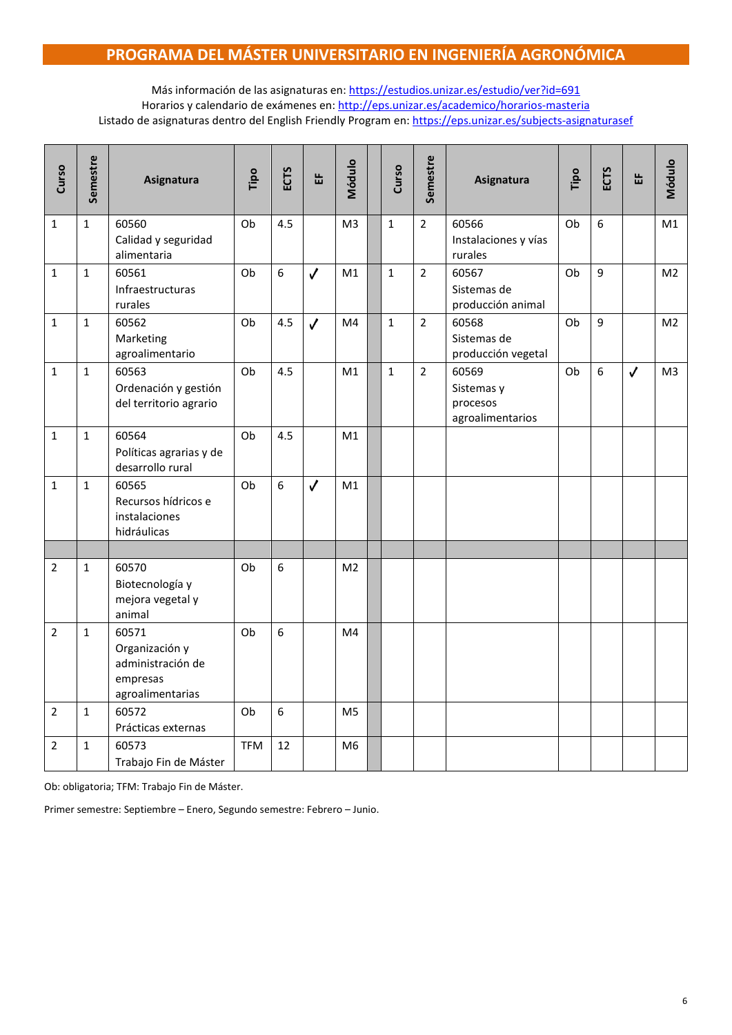## **PROGRAMA DEL MÁSTER UNIVERSITARIO EN INGENIERÍA AGRONÓMICA**

Más información de las asignaturas en:<https://estudios.unizar.es/estudio/ver?id=691> Horarios y calendario de exámenes en:<http://eps.unizar.es/academico/horarios-masteria> Listado de asignaturas dentro del English Friendly Program en[: https://eps.unizar.es/subjects-asignaturasef](https://eps.unizar.es/subjects-asignaturasef)

| Curso          | Semestre     | Asignatura                                                                   | Tipo       | <b>ECTS</b> | 뚭            | Módulo         | Curso        | Semestre       | Asignatura                                          | Tipo | ECTS | 岀            | Módulo         |
|----------------|--------------|------------------------------------------------------------------------------|------------|-------------|--------------|----------------|--------------|----------------|-----------------------------------------------------|------|------|--------------|----------------|
| $\mathbf{1}$   | $\mathbf{1}$ | 60560<br>Calidad y seguridad<br>alimentaria                                  | Ob         | 4.5         |              | M <sub>3</sub> | $\mathbf{1}$ | $\overline{2}$ | 60566<br>Instalaciones y vías<br>rurales            | Ob   | 6    |              | M1             |
| $\mathbf{1}$   | $\mathbf{1}$ | 60561<br>Infraestructuras<br>rurales                                         | Ob         | 6           | $\checkmark$ | M1             | $\mathbf{1}$ | $\overline{2}$ | 60567<br>Sistemas de<br>producción animal           | Ob   | 9    |              | M <sub>2</sub> |
| $\mathbf{1}$   | $\mathbf{1}$ | 60562<br>Marketing<br>agroalimentario                                        | Ob         | 4.5         | $\checkmark$ | M4             | $\mathbf{1}$ | $\overline{2}$ | 60568<br>Sistemas de<br>producción vegetal          | Ob   | 9    |              | M <sub>2</sub> |
| $\mathbf{1}$   | $\mathbf{1}$ | 60563<br>Ordenación y gestión<br>del territorio agrario                      | Ob         | 4.5         |              | M1             | $\mathbf{1}$ | $\overline{2}$ | 60569<br>Sistemas y<br>procesos<br>agroalimentarios | Ob   | 6    | $\checkmark$ | M3             |
| $\mathbf{1}$   | $\mathbf{1}$ | 60564<br>Políticas agrarias y de<br>desarrollo rural                         | Ob         | 4.5         |              | M1             |              |                |                                                     |      |      |              |                |
| $\mathbf{1}$   | $\mathbf{1}$ | 60565<br>Recursos hídricos e<br>instalaciones<br>hidráulicas                 | Ob         | 6           | $\checkmark$ | M1             |              |                |                                                     |      |      |              |                |
|                |              |                                                                              |            |             |              |                |              |                |                                                     |      |      |              |                |
| $\overline{2}$ | $\mathbf{1}$ | 60570<br>Biotecnología y<br>mejora vegetal y<br>animal                       | Ob         | 6           |              | M <sub>2</sub> |              |                |                                                     |      |      |              |                |
| $\overline{2}$ | $\mathbf{1}$ | 60571<br>Organización y<br>administración de<br>empresas<br>agroalimentarias | Ob         | 6           |              | M4             |              |                |                                                     |      |      |              |                |
| $\overline{2}$ | $\mathbf{1}$ | 60572<br>Prácticas externas                                                  | Ob         | 6           |              | M5             |              |                |                                                     |      |      |              |                |
| $\overline{2}$ | $\mathbf{1}$ | 60573<br>Trabajo Fin de Máster                                               | <b>TFM</b> | 12          |              | M <sub>6</sub> |              |                |                                                     |      |      |              |                |

Ob: obligatoria; TFM: Trabajo Fin de Máster.

Primer semestre: Septiembre – Enero, Segundo semestre: Febrero – Junio.